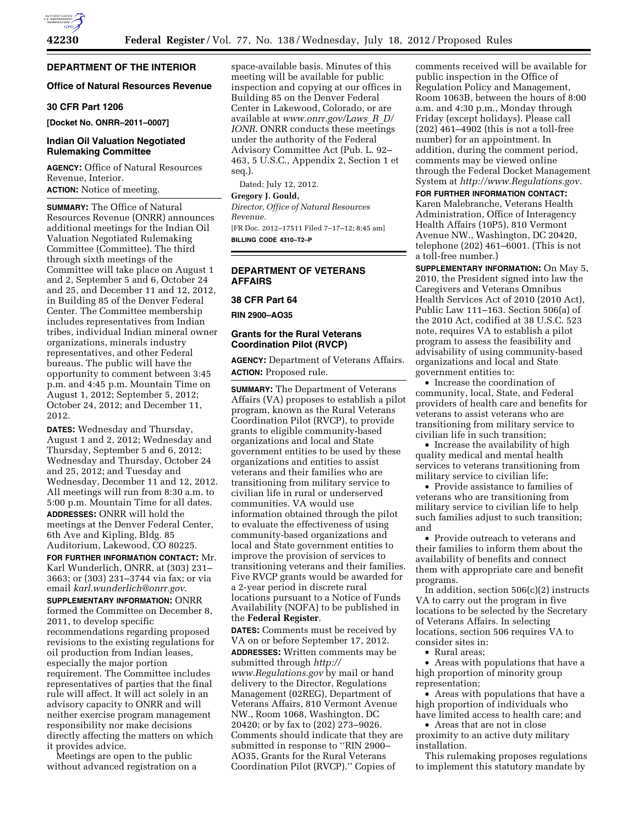# **DEPARTMENT OF THE INTERIOR**

## **Office of Natural Resources Revenue**

# **30 CFR Part 1206**

**[Docket No. ONRR–2011–0007]** 

# **Indian Oil Valuation Negotiated Rulemaking Committee**

**AGENCY:** Office of Natural Resources Revenue, Interior. **ACTION:** Notice of meeting.

**SUMMARY:** The Office of Natural Resources Revenue (ONRR) announces additional meetings for the Indian Oil Valuation Negotiated Rulemaking Committee (Committee). The third through sixth meetings of the Committee will take place on August 1 and 2, September 5 and 6, October 24 and 25, and December 11 and 12, 2012, in Building 85 of the Denver Federal Center. The Committee membership includes representatives from Indian tribes, individual Indian mineral owner organizations, minerals industry representatives, and other Federal bureaus. The public will have the opportunity to comment between 3:45 p.m. and 4:45 p.m. Mountain Time on August 1, 2012; September 5, 2012; October 24, 2012; and December 11, 2012.

**DATES:** Wednesday and Thursday, August 1 and 2, 2012; Wednesday and Thursday, September 5 and 6, 2012; Wednesday and Thursday, October 24 and 25, 2012; and Tuesday and Wednesday, December 11 and 12, 2012. All meetings will run from 8:30 a.m. to 5:00 p.m. Mountain Time for all dates. **ADDRESSES:** ONRR will hold the meetings at the Denver Federal Center, 6th Ave and Kipling, Bldg. 85 Auditorium, Lakewood, CO 80225.

**FOR FURTHER INFORMATION CONTACT:** Mr. Karl Wunderlich, ONRR, at (303) 231– 3663; or (303) 231–3744 via fax; or via email *[karl.wunderlich@onrr.gov](mailto:karl.wunderlich@onrr.gov)*.

**SUPPLEMENTARY INFORMATION:** ONRR formed the Committee on December 8, 2011, to develop specific recommendations regarding proposed revisions to the existing regulations for oil production from Indian leases, especially the major portion requirement. The Committee includes representatives of parties that the final rule will affect. It will act solely in an advisory capacity to ONRR and will neither exercise program management responsibility nor make decisions directly affecting the matters on which it provides advice.

Meetings are open to the public without advanced registration on a space-available basis. Minutes of this meeting will be available for public inspection and copying at our offices in Building 85 on the Denver Federal Center in Lakewood, Colorado, or are available at *[www.onrr.gov/Laws](http://www.onrr.gov/Laws_R_D/IONR)*\_*R*\_*D/ [IONR](http://www.onrr.gov/Laws_R_D/IONR)*. ONRR conducts these meetings under the authority of the Federal Advisory Committee Act (Pub. L. 92– 463, 5 U.S.C., Appendix 2, Section 1 et seq.).

Dated: July 12, 2012.

# **Gregory J. Gould,**

*Director, Office of Natural Resources Revenue.* 

[FR Doc. 2012–17511 Filed 7–17–12; 8:45 am] **BILLING CODE 4310–T2–P** 

# **DEPARTMENT OF VETERANS AFFAIRS**

#### **38 CFR Part 64**

**RIN 2900–AO35** 

# **Grants for the Rural Veterans Coordination Pilot (RVCP)**

**AGENCY:** Department of Veterans Affairs. **ACTION:** Proposed rule.

**SUMMARY:** The Department of Veterans Affairs (VA) proposes to establish a pilot program, known as the Rural Veterans Coordination Pilot (RVCP), to provide grants to eligible community-based organizations and local and State government entities to be used by these organizations and entities to assist veterans and their families who are transitioning from military service to civilian life in rural or underserved communities. VA would use information obtained through the pilot to evaluate the effectiveness of using community-based organizations and local and State government entities to improve the provision of services to transitioning veterans and their families. Five RVCP grants would be awarded for a 2-year period in discrete rural locations pursuant to a Notice of Funds Availability (NOFA) to be published in the **Federal Register**.

**DATES:** Comments must be received by VA on or before September 17, 2012. **ADDRESSES:** Written comments may be submitted through *[http://](http://www.Regulations.gov) [www.Regulations.gov](http://www.Regulations.gov)* by mail or hand delivery to the Director, Regulations Management (02REG), Department of Veterans Affairs, 810 Vermont Avenue NW., Room 1068, Washington, DC 20420; or by fax to (202) 273–9026. Comments should indicate that they are submitted in response to "RIN 2900-AO35, Grants for the Rural Veterans Coordination Pilot (RVCP).'' Copies of

comments received will be available for public inspection in the Office of Regulation Policy and Management, Room 1063B, between the hours of 8:00 a.m. and 4:30 p.m., Monday through Friday (except holidays). Please call (202) 461–4902 (this is not a toll-free number) for an appointment. In addition, during the comment period, comments may be viewed online through the Federal Docket Management System at *[http://www.Regulations.gov.](http://www.Regulations.gov)* 

**FOR FURTHER INFORMATION CONTACT:**  Karen Malebranche, Veterans Health Administration, Office of Interagency Health Affairs (10P5), 810 Vermont Avenue NW., Washington, DC 20420, telephone (202) 461–6001. (This is not a toll-free number.)

**SUPPLEMENTARY INFORMATION:** On May 5, 2010, the President signed into law the Caregivers and Veterans Omnibus Health Services Act of 2010 (2010 Act), Public Law 111–163. Section 506(a) of the 2010 Act, codified at 38 U.S.C. 523 note, requires VA to establish a pilot program to assess the feasibility and advisability of using community-based organizations and local and State government entities to:

• Increase the coordination of community, local, State, and Federal providers of health care and benefits for veterans to assist veterans who are transitioning from military service to civilian life in such transition;

• Increase the availability of high quality medical and mental health services to veterans transitioning from military service to civilian life;

• Provide assistance to families of veterans who are transitioning from military service to civilian life to help such families adjust to such transition; and

• Provide outreach to veterans and their families to inform them about the availability of benefits and connect them with appropriate care and benefit programs.

In addition, section 506(c)(2) instructs VA to carry out the program in five locations to be selected by the Secretary of Veterans Affairs. In selecting locations, section 506 requires VA to consider sites in:

• Rural areas;

• Areas with populations that have a high proportion of minority group representation;

• Areas with populations that have a high proportion of individuals who have limited access to health care; and

• Areas that are not in close proximity to an active duty military installation.

This rulemaking proposes regulations to implement this statutory mandate by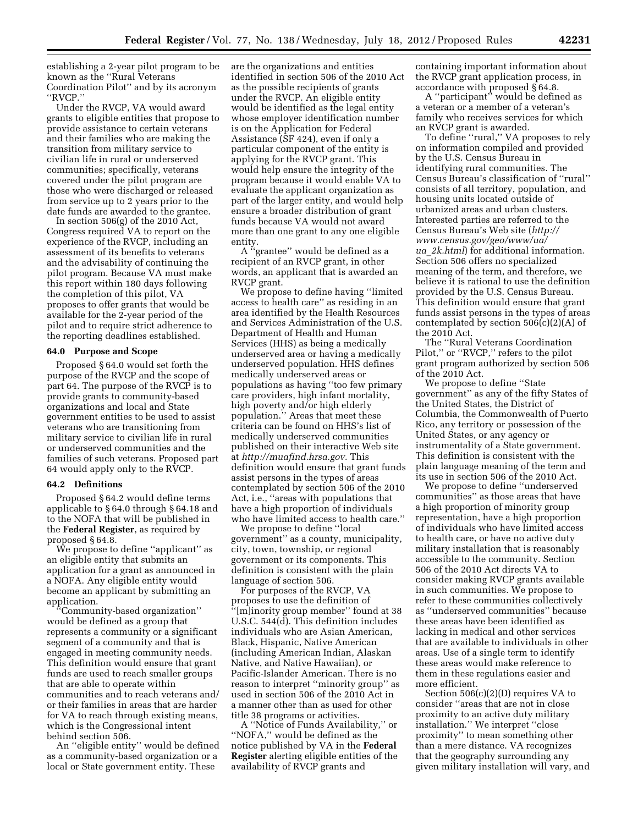establishing a 2-year pilot program to be known as the ''Rural Veterans Coordination Pilot'' and by its acronym ''RVCP.''

Under the RVCP, VA would award grants to eligible entities that propose to provide assistance to certain veterans and their families who are making the transition from military service to civilian life in rural or underserved communities; specifically, veterans covered under the pilot program are those who were discharged or released from service up to 2 years prior to the date funds are awarded to the grantee.

In section 506(g) of the 2010 Act, Congress required VA to report on the experience of the RVCP, including an assessment of its benefits to veterans and the advisability of continuing the pilot program. Because VA must make this report within 180 days following the completion of this pilot, VA proposes to offer grants that would be available for the 2-year period of the pilot and to require strict adherence to the reporting deadlines established.

## **64.0 Purpose and Scope**

Proposed § 64.0 would set forth the purpose of the RVCP and the scope of part 64. The purpose of the RVCP is to provide grants to community-based organizations and local and State government entities to be used to assist veterans who are transitioning from military service to civilian life in rural or underserved communities and the families of such veterans. Proposed part 64 would apply only to the RVCP.

#### **64.2 Definitions**

Proposed § 64.2 would define terms applicable to § 64.0 through § 64.18 and to the NOFA that will be published in the **Federal Register**, as required by proposed § 64.8.

We propose to define "applicant" as an eligible entity that submits an application for a grant as announced in a NOFA. Any eligible entity would become an applicant by submitting an application.

''Community-based organization'' would be defined as a group that represents a community or a significant segment of a community and that is engaged in meeting community needs. This definition would ensure that grant funds are used to reach smaller groups that are able to operate within communities and to reach veterans and/ or their families in areas that are harder for VA to reach through existing means, which is the Congressional intent behind section 506.

An ''eligible entity'' would be defined as a community-based organization or a local or State government entity. These

are the organizations and entities identified in section 506 of the 2010 Act as the possible recipients of grants under the RVCP. An eligible entity would be identified as the legal entity whose employer identification number is on the Application for Federal Assistance (SF 424), even if only a particular component of the entity is applying for the RVCP grant. This would help ensure the integrity of the program because it would enable VA to evaluate the applicant organization as part of the larger entity, and would help ensure a broader distribution of grant funds because VA would not award more than one grant to any one eligible entity.

A ''grantee'' would be defined as a recipient of an RVCP grant, in other words, an applicant that is awarded an RVCP grant.

We propose to define having ''limited access to health care'' as residing in an area identified by the Health Resources and Services Administration of the U.S. Department of Health and Human Services (HHS) as being a medically underserved area or having a medically underserved population. HHS defines medically underserved areas or populations as having ''too few primary care providers, high infant mortality, high poverty and/or high elderly population.'' Areas that meet these criteria can be found on HHS's list of medically underserved communities published on their interactive Web site at *[http://muafind.hrsa.gov.](http://muafind.hrsa.gov)* This definition would ensure that grant funds assist persons in the types of areas contemplated by section 506 of the 2010 Act, i.e., ''areas with populations that have a high proportion of individuals who have limited access to health care.''

We propose to define ''local government'' as a county, municipality, city, town, township, or regional government or its components. This definition is consistent with the plain language of section 506.

For purposes of the RVCP, VA proposes to use the definition of ''[m]inority group member'' found at 38 U.S.C. 544(d). This definition includes individuals who are Asian American, Black, Hispanic, Native American (including American Indian, Alaskan Native, and Native Hawaiian), or Pacific-Islander American. There is no reason to interpret ''minority group'' as used in section 506 of the 2010 Act in a manner other than as used for other title 38 programs or activities.

A ''Notice of Funds Availability,'' or ''NOFA,'' would be defined as the notice published by VA in the **Federal Register** alerting eligible entities of the availability of RVCP grants and

containing important information about the RVCP grant application process, in accordance with proposed § 64.8.

A ''participant'' would be defined as a veteran or a member of a veteran's family who receives services for which an RVCP grant is awarded.

To define ''rural,'' VA proposes to rely on information compiled and provided by the U.S. Census Bureau in identifying rural communities. The Census Bureau's classification of ''rural'' consists of all territory, population, and housing units located outside of urbanized areas and urban clusters. Interested parties are referred to the Census Bureau's Web site (*[http://](http://www.census.gov/geo/www/ua/ua_2k.html)  [www.census.gov/geo/www/ua/](http://www.census.gov/geo/www/ua/ua_2k.html)  ua*\_*[2k.html](http://www.census.gov/geo/www/ua/ua_2k.html)*) for additional information. Section 506 offers no specialized meaning of the term, and therefore, we believe it is rational to use the definition provided by the U.S. Census Bureau. This definition would ensure that grant funds assist persons in the types of areas contemplated by section 506(c)(2)(A) of the 2010 Act.

The ''Rural Veterans Coordination Pilot,'' or ''RVCP,'' refers to the pilot grant program authorized by section 506 of the 2010 Act.

We propose to define ''State government'' as any of the fifty States of the United States, the District of Columbia, the Commonwealth of Puerto Rico, any territory or possession of the United States, or any agency or instrumentality of a State government. This definition is consistent with the plain language meaning of the term and its use in section 506 of the 2010 Act.

We propose to define ''underserved communities'' as those areas that have a high proportion of minority group representation, have a high proportion of individuals who have limited access to health care, or have no active duty military installation that is reasonably accessible to the community. Section 506 of the 2010 Act directs VA to consider making RVCP grants available in such communities. We propose to refer to these communities collectively as ''underserved communities'' because these areas have been identified as lacking in medical and other services that are available to individuals in other areas. Use of a single term to identify these areas would make reference to them in these regulations easier and more efficient.

Section 506(c)(2)(D) requires VA to consider ''areas that are not in close proximity to an active duty military installation.'' We interpret ''close proximity'' to mean something other than a mere distance. VA recognizes that the geography surrounding any given military installation will vary, and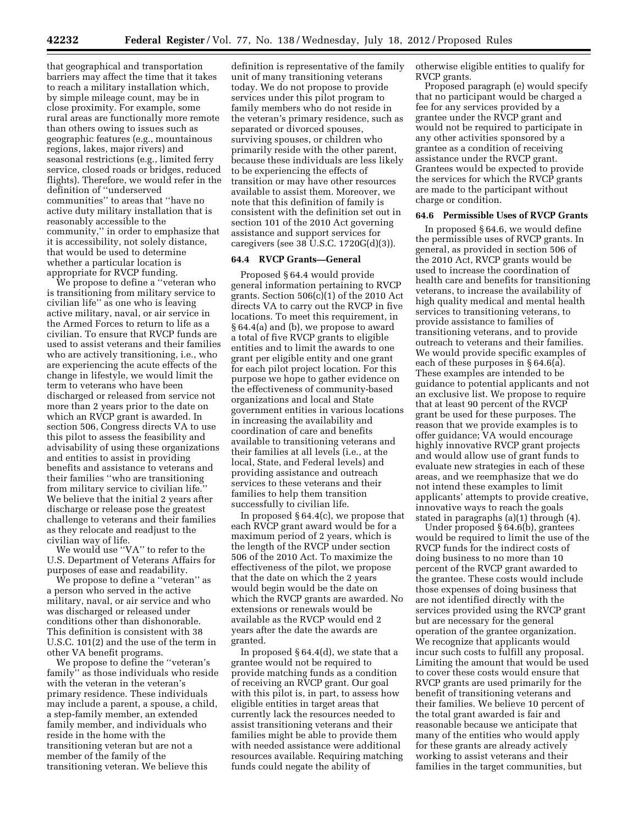that geographical and transportation barriers may affect the time that it takes to reach a military installation which, by simple mileage count, may be in close proximity. For example, some rural areas are functionally more remote than others owing to issues such as geographic features (e.g., mountainous regions, lakes, major rivers) and seasonal restrictions (e.g., limited ferry service, closed roads or bridges, reduced flights). Therefore, we would refer in the definition of ''underserved communities'' to areas that ''have no active duty military installation that is reasonably accessible to the community,'' in order to emphasize that it is accessibility, not solely distance, that would be used to determine whether a particular location is appropriate for RVCP funding.

We propose to define a ''veteran who is transitioning from military service to civilian life'' as one who is leaving active military, naval, or air service in the Armed Forces to return to life as a civilian. To ensure that RVCP funds are used to assist veterans and their families who are actively transitioning, i.e., who are experiencing the acute effects of the change in lifestyle, we would limit the term to veterans who have been discharged or released from service not more than 2 years prior to the date on which an RVCP grant is awarded. In section 506, Congress directs VA to use this pilot to assess the feasibility and advisability of using these organizations and entities to assist in providing benefits and assistance to veterans and their families ''who are transitioning from military service to civilian life.'' We believe that the initial 2 years after discharge or release pose the greatest challenge to veterans and their families as they relocate and readjust to the civilian way of life.

We would use ''VA'' to refer to the U.S. Department of Veterans Affairs for purposes of ease and readability.

We propose to define a "veteran" as a person who served in the active military, naval, or air service and who was discharged or released under conditions other than dishonorable. This definition is consistent with 38 U.S.C. 101(2) and the use of the term in other VA benefit programs.

We propose to define the ''veteran's family'' as those individuals who reside with the veteran in the veteran's primary residence. These individuals may include a parent, a spouse, a child, a step-family member, an extended family member, and individuals who reside in the home with the transitioning veteran but are not a member of the family of the transitioning veteran. We believe this

definition is representative of the family unit of many transitioning veterans today. We do not propose to provide services under this pilot program to family members who do not reside in the veteran's primary residence, such as separated or divorced spouses, surviving spouses, or children who primarily reside with the other parent, because these individuals are less likely to be experiencing the effects of transition or may have other resources available to assist them. Moreover, we note that this definition of family is consistent with the definition set out in section 101 of the 2010 Act governing assistance and support services for caregivers (see 38 U.S.C. 1720G(d)(3)).

### **64.4 RVCP Grants—General**

Proposed § 64.4 would provide general information pertaining to RVCP grants. Section 506(c)(1) of the 2010 Act directs VA to carry out the RVCP in five locations. To meet this requirement, in § 64.4(a) and (b), we propose to award a total of five RVCP grants to eligible entities and to limit the awards to one grant per eligible entity and one grant for each pilot project location. For this purpose we hope to gather evidence on the effectiveness of community-based organizations and local and State government entities in various locations in increasing the availability and coordination of care and benefits available to transitioning veterans and their families at all levels (i.e., at the local, State, and Federal levels) and providing assistance and outreach services to these veterans and their families to help them transition successfully to civilian life.

In proposed § 64.4(c), we propose that each RVCP grant award would be for a maximum period of 2 years, which is the length of the RVCP under section 506 of the 2010 Act. To maximize the effectiveness of the pilot, we propose that the date on which the 2 years would begin would be the date on which the RVCP grants are awarded. No extensions or renewals would be available as the RVCP would end 2 years after the date the awards are granted.

In proposed § 64.4(d), we state that a grantee would not be required to provide matching funds as a condition of receiving an RVCP grant. Our goal with this pilot is, in part, to assess how eligible entities in target areas that currently lack the resources needed to assist transitioning veterans and their families might be able to provide them with needed assistance were additional resources available. Requiring matching funds could negate the ability of

otherwise eligible entities to qualify for RVCP grants.

Proposed paragraph (e) would specify that no participant would be charged a fee for any services provided by a grantee under the RVCP grant and would not be required to participate in any other activities sponsored by a grantee as a condition of receiving assistance under the RVCP grant. Grantees would be expected to provide the services for which the RVCP grants are made to the participant without charge or condition.

### **64.6 Permissible Uses of RVCP Grants**

In proposed § 64.6, we would define the permissible uses of RVCP grants. In general, as provided in section 506 of the 2010 Act, RVCP grants would be used to increase the coordination of health care and benefits for transitioning veterans, to increase the availability of high quality medical and mental health services to transitioning veterans, to provide assistance to families of transitioning veterans, and to provide outreach to veterans and their families. We would provide specific examples of each of these purposes in § 64.6(a). These examples are intended to be guidance to potential applicants and not an exclusive list. We propose to require that at least 90 percent of the RVCP grant be used for these purposes. The reason that we provide examples is to offer guidance; VA would encourage highly innovative RVCP grant projects and would allow use of grant funds to evaluate new strategies in each of these areas, and we reemphasize that we do not intend these examples to limit applicants' attempts to provide creative, innovative ways to reach the goals stated in paragraphs (a)(1) through (4).

Under proposed § 64.6(b), grantees would be required to limit the use of the RVCP funds for the indirect costs of doing business to no more than 10 percent of the RVCP grant awarded to the grantee. These costs would include those expenses of doing business that are not identified directly with the services provided using the RVCP grant but are necessary for the general operation of the grantee organization. We recognize that applicants would incur such costs to fulfill any proposal. Limiting the amount that would be used to cover these costs would ensure that RVCP grants are used primarily for the benefit of transitioning veterans and their families. We believe 10 percent of the total grant awarded is fair and reasonable because we anticipate that many of the entities who would apply for these grants are already actively working to assist veterans and their families in the target communities, but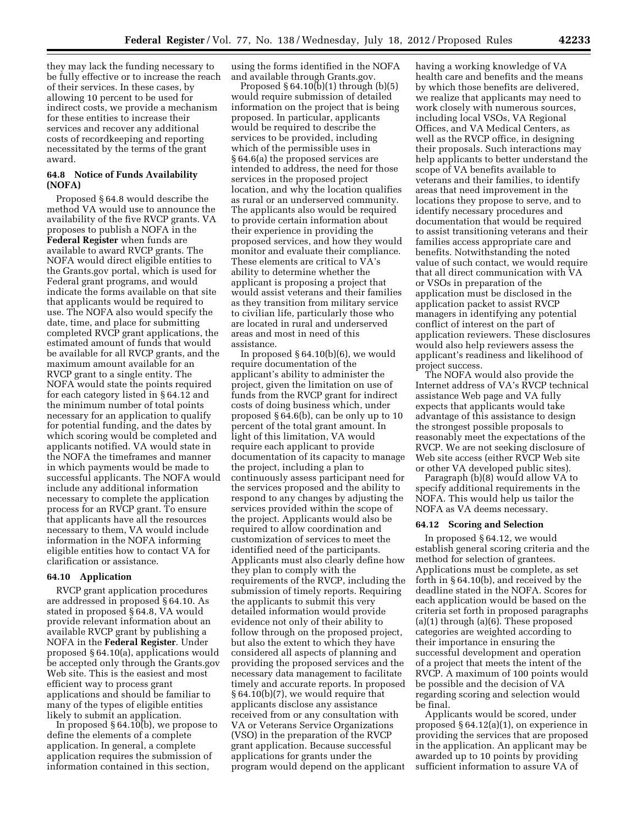they may lack the funding necessary to be fully effective or to increase the reach of their services. In these cases, by allowing 10 percent to be used for indirect costs, we provide a mechanism for these entities to increase their services and recover any additional costs of recordkeeping and reporting necessitated by the terms of the grant award.

#### **64.8 Notice of Funds Availability (NOFA)**

Proposed § 64.8 would describe the method VA would use to announce the availability of the five RVCP grants. VA proposes to publish a NOFA in the **Federal Register** when funds are available to award RVCP grants. The NOFA would direct eligible entities to the Grants.gov portal, which is used for Federal grant programs, and would indicate the forms available on that site that applicants would be required to use. The NOFA also would specify the date, time, and place for submitting completed RVCP grant applications, the estimated amount of funds that would be available for all RVCP grants, and the maximum amount available for an RVCP grant to a single entity. The NOFA would state the points required for each category listed in § 64.12 and the minimum number of total points necessary for an application to qualify for potential funding, and the dates by which scoring would be completed and applicants notified. VA would state in the NOFA the timeframes and manner in which payments would be made to successful applicants. The NOFA would include any additional information necessary to complete the application process for an RVCP grant. To ensure that applicants have all the resources necessary to them, VA would include information in the NOFA informing eligible entities how to contact VA for clarification or assistance.

### **64.10 Application**

RVCP grant application procedures are addressed in proposed § 64.10. As stated in proposed § 64.8, VA would provide relevant information about an available RVCP grant by publishing a NOFA in the **Federal Register**. Under proposed § 64.10(a), applications would be accepted only through the Grants.gov Web site. This is the easiest and most efficient way to process grant applications and should be familiar to many of the types of eligible entities likely to submit an application.

In proposed § 64.10(b), we propose to define the elements of a complete application. In general, a complete application requires the submission of information contained in this section,

using the forms identified in the NOFA and available through Grants.gov.

Proposed § 64.10(b)(1) through (b)(5) would require submission of detailed information on the project that is being proposed. In particular, applicants would be required to describe the services to be provided, including which of the permissible uses in § 64.6(a) the proposed services are intended to address, the need for those services in the proposed project location, and why the location qualifies as rural or an underserved community. The applicants also would be required to provide certain information about their experience in providing the proposed services, and how they would monitor and evaluate their compliance. These elements are critical to VA's ability to determine whether the applicant is proposing a project that would assist veterans and their families as they transition from military service to civilian life, particularly those who are located in rural and underserved areas and most in need of this assistance.

In proposed  $§ 64.10(b)(6)$ , we would require documentation of the applicant's ability to administer the project, given the limitation on use of funds from the RVCP grant for indirect costs of doing business which, under proposed § 64.6(b), can be only up to 10 percent of the total grant amount. In light of this limitation, VA would require each applicant to provide documentation of its capacity to manage the project, including a plan to continuously assess participant need for the services proposed and the ability to respond to any changes by adjusting the services provided within the scope of the project. Applicants would also be required to allow coordination and customization of services to meet the identified need of the participants. Applicants must also clearly define how they plan to comply with the requirements of the RVCP, including the submission of timely reports. Requiring the applicants to submit this very detailed information would provide evidence not only of their ability to follow through on the proposed project, but also the extent to which they have considered all aspects of planning and providing the proposed services and the necessary data management to facilitate timely and accurate reports. In proposed § 64.10(b)(7), we would require that applicants disclose any assistance received from or any consultation with VA or Veterans Service Organizations (VSO) in the preparation of the RVCP grant application. Because successful applications for grants under the program would depend on the applicant having a working knowledge of VA health care and benefits and the means by which those benefits are delivered, we realize that applicants may need to work closely with numerous sources, including local VSOs, VA Regional Offices, and VA Medical Centers, as well as the RVCP office, in designing their proposals. Such interactions may help applicants to better understand the scope of VA benefits available to veterans and their families, to identify areas that need improvement in the locations they propose to serve, and to identify necessary procedures and documentation that would be required to assist transitioning veterans and their families access appropriate care and benefits. Notwithstanding the noted value of such contact, we would require that all direct communication with VA or VSOs in preparation of the application must be disclosed in the application packet to assist RVCP managers in identifying any potential conflict of interest on the part of application reviewers. These disclosures would also help reviewers assess the applicant's readiness and likelihood of project success.

The NOFA would also provide the Internet address of VA's RVCP technical assistance Web page and VA fully expects that applicants would take advantage of this assistance to design the strongest possible proposals to reasonably meet the expectations of the RVCP. We are not seeking disclosure of Web site access (either RVCP Web site or other VA developed public sites).

Paragraph (b)(8) would allow VA to specify additional requirements in the NOFA. This would help us tailor the NOFA as VA deems necessary.

#### **64.12 Scoring and Selection**

In proposed § 64.12, we would establish general scoring criteria and the method for selection of grantees. Applications must be complete, as set forth in § 64.10(b), and received by the deadline stated in the NOFA. Scores for each application would be based on the criteria set forth in proposed paragraphs (a)(1) through (a)(6). These proposed categories are weighted according to their importance in ensuring the successful development and operation of a project that meets the intent of the RVCP. A maximum of 100 points would be possible and the decision of VA regarding scoring and selection would be final.

Applicants would be scored, under proposed § 64.12(a)(1), on experience in providing the services that are proposed in the application. An applicant may be awarded up to 10 points by providing sufficient information to assure VA of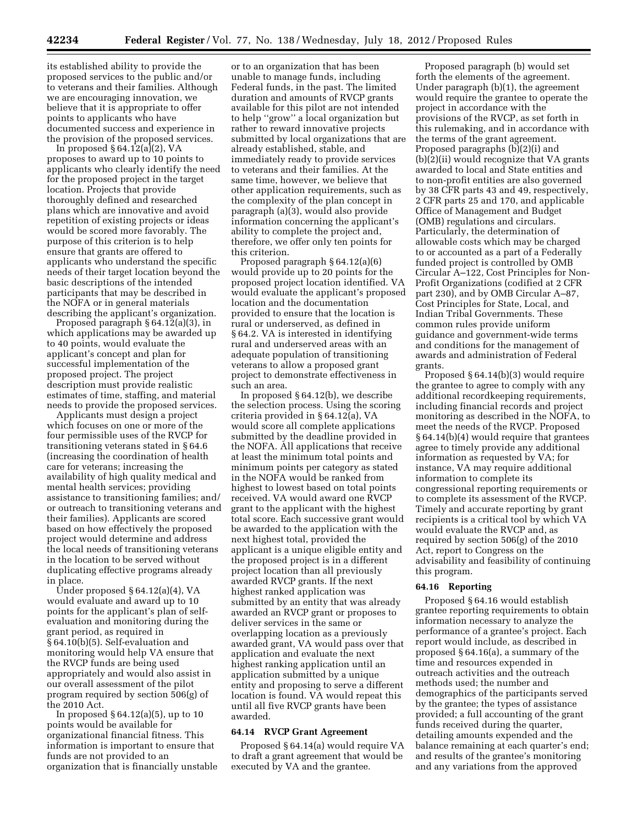its established ability to provide the proposed services to the public and/or to veterans and their families. Although we are encouraging innovation, we believe that it is appropriate to offer points to applicants who have documented success and experience in the provision of the proposed services.

In proposed  $§ 64.12(a)(2)$ , VA proposes to award up to 10 points to applicants who clearly identify the need for the proposed project in the target location. Projects that provide thoroughly defined and researched plans which are innovative and avoid repetition of existing projects or ideas would be scored more favorably. The purpose of this criterion is to help ensure that grants are offered to applicants who understand the specific needs of their target location beyond the basic descriptions of the intended participants that may be described in the NOFA or in general materials describing the applicant's organization.

Proposed paragraph § 64.12(a)(3), in which applications may be awarded up to 40 points, would evaluate the applicant's concept and plan for successful implementation of the proposed project. The project description must provide realistic estimates of time, staffing, and material needs to provide the proposed services.

Applicants must design a project which focuses on one or more of the four permissible uses of the RVCP for transitioning veterans stated in § 64.6 (increasing the coordination of health care for veterans; increasing the availability of high quality medical and mental health services; providing assistance to transitioning families; and/ or outreach to transitioning veterans and their families). Applicants are scored based on how effectively the proposed project would determine and address the local needs of transitioning veterans in the location to be served without duplicating effective programs already in place.

Under proposed § 64.12(a)(4), VA would evaluate and award up to 10 points for the applicant's plan of selfevaluation and monitoring during the grant period, as required in § 64.10(b)(5). Self-evaluation and monitoring would help VA ensure that the RVCP funds are being used appropriately and would also assist in our overall assessment of the pilot program required by section 506(g) of the 2010 Act.

In proposed  $\S 64.12(a)(5)$ , up to 10 points would be available for organizational financial fitness. This information is important to ensure that funds are not provided to an organization that is financially unstable

or to an organization that has been unable to manage funds, including Federal funds, in the past. The limited duration and amounts of RVCP grants available for this pilot are not intended to help ''grow'' a local organization but rather to reward innovative projects submitted by local organizations that are already established, stable, and immediately ready to provide services to veterans and their families. At the same time, however, we believe that other application requirements, such as the complexity of the plan concept in paragraph (a)(3), would also provide information concerning the applicant's ability to complete the project and, therefore, we offer only ten points for this criterion.

Proposed paragraph § 64.12(a)(6) would provide up to 20 points for the proposed project location identified. VA would evaluate the applicant's proposed location and the documentation provided to ensure that the location is rural or underserved, as defined in § 64.2. VA is interested in identifying rural and underserved areas with an adequate population of transitioning veterans to allow a proposed grant project to demonstrate effectiveness in such an area.

In proposed § 64.12(b), we describe the selection process. Using the scoring criteria provided in § 64.12(a), VA would score all complete applications submitted by the deadline provided in the NOFA. All applications that receive at least the minimum total points and minimum points per category as stated in the NOFA would be ranked from highest to lowest based on total points received. VA would award one RVCP grant to the applicant with the highest total score. Each successive grant would be awarded to the application with the next highest total, provided the applicant is a unique eligible entity and the proposed project is in a different project location than all previously awarded RVCP grants. If the next highest ranked application was submitted by an entity that was already awarded an RVCP grant or proposes to deliver services in the same or overlapping location as a previously awarded grant, VA would pass over that application and evaluate the next highest ranking application until an application submitted by a unique entity and proposing to serve a different location is found. VA would repeat this until all five RVCP grants have been awarded.

# **64.14 RVCP Grant Agreement**

Proposed § 64.14(a) would require VA to draft a grant agreement that would be executed by VA and the grantee.

Proposed paragraph (b) would set forth the elements of the agreement. Under paragraph (b)(1), the agreement would require the grantee to operate the project in accordance with the provisions of the RVCP, as set forth in this rulemaking, and in accordance with the terms of the grant agreement. Proposed paragraphs (b)(2)(i) and (b)(2)(ii) would recognize that VA grants awarded to local and State entities and to non-profit entities are also governed by 38 CFR parts 43 and 49, respectively, 2 CFR parts 25 and 170, and applicable Office of Management and Budget (OMB) regulations and circulars. Particularly, the determination of allowable costs which may be charged to or accounted as a part of a Federally funded project is controlled by OMB Circular A–122, Cost Principles for Non-Profit Organizations (codified at 2 CFR part 230), and by OMB Circular A–87, Cost Principles for State, Local, and Indian Tribal Governments. These common rules provide uniform guidance and government-wide terms and conditions for the management of awards and administration of Federal grants.

Proposed § 64.14(b)(3) would require the grantee to agree to comply with any additional recordkeeping requirements, including financial records and project monitoring as described in the NOFA, to meet the needs of the RVCP. Proposed § 64.14(b)(4) would require that grantees agree to timely provide any additional information as requested by VA; for instance, VA may require additional information to complete its congressional reporting requirements or to complete its assessment of the RVCP. Timely and accurate reporting by grant recipients is a critical tool by which VA would evaluate the RVCP and, as required by section 506(g) of the 2010 Act, report to Congress on the advisability and feasibility of continuing this program.

#### **64.16 Reporting**

Proposed § 64.16 would establish grantee reporting requirements to obtain information necessary to analyze the performance of a grantee's project. Each report would include, as described in proposed § 64.16(a), a summary of the time and resources expended in outreach activities and the outreach methods used; the number and demographics of the participants served by the grantee; the types of assistance provided; a full accounting of the grant funds received during the quarter, detailing amounts expended and the balance remaining at each quarter's end; and results of the grantee's monitoring and any variations from the approved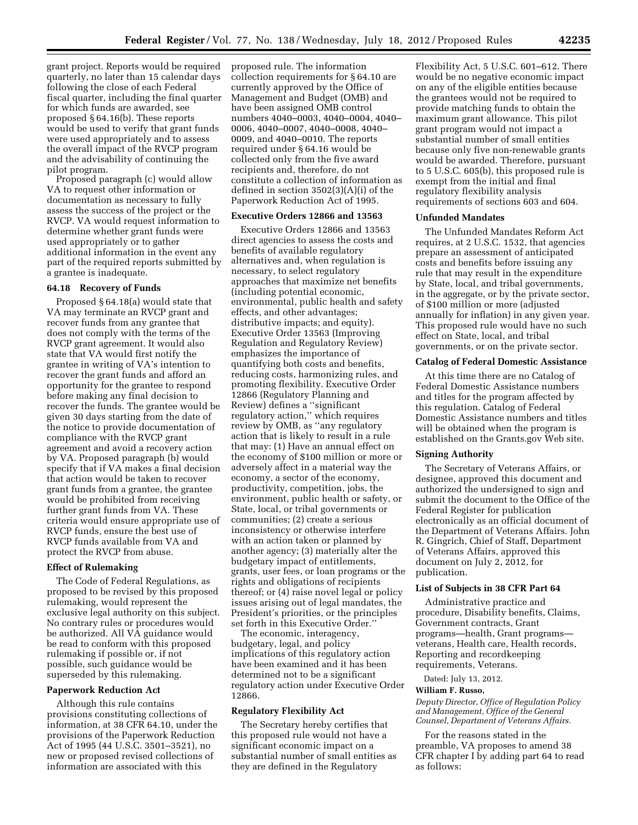grant project. Reports would be required quarterly, no later than 15 calendar days following the close of each Federal fiscal quarter, including the final quarter for which funds are awarded, see proposed § 64.16(b). These reports would be used to verify that grant funds were used appropriately and to assess the overall impact of the RVCP program and the advisability of continuing the pilot program.

Proposed paragraph (c) would allow VA to request other information or documentation as necessary to fully assess the success of the project or the RVCP. VA would request information to determine whether grant funds were used appropriately or to gather additional information in the event any part of the required reports submitted by a grantee is inadequate.

#### **64.18 Recovery of Funds**

Proposed § 64.18(a) would state that VA may terminate an RVCP grant and recover funds from any grantee that does not comply with the terms of the RVCP grant agreement. It would also state that VA would first notify the grantee in writing of VA's intention to recover the grant funds and afford an opportunity for the grantee to respond before making any final decision to recover the funds. The grantee would be given 30 days starting from the date of the notice to provide documentation of compliance with the RVCP grant agreement and avoid a recovery action by VA. Proposed paragraph (b) would specify that if VA makes a final decision that action would be taken to recover grant funds from a grantee, the grantee would be prohibited from receiving further grant funds from VA. These criteria would ensure appropriate use of RVCP funds, ensure the best use of RVCP funds available from VA and protect the RVCP from abuse.

## **Effect of Rulemaking**

The Code of Federal Regulations, as proposed to be revised by this proposed rulemaking, would represent the exclusive legal authority on this subject. No contrary rules or procedures would be authorized. All VA guidance would be read to conform with this proposed rulemaking if possible or, if not possible, such guidance would be superseded by this rulemaking.

### **Paperwork Reduction Act**

Although this rule contains provisions constituting collections of information, at 38 CFR 64.10, under the provisions of the Paperwork Reduction Act of 1995 (44 U.S.C. 3501–3521), no new or proposed revised collections of information are associated with this

proposed rule. The information collection requirements for § 64.10 are currently approved by the Office of Management and Budget (OMB) and have been assigned OMB control numbers 4040–0003, 4040–0004, 4040– 0006, 4040–0007, 4040–0008, 4040– 0009, and 4040–0010. The reports required under § 64.16 would be collected only from the five award recipients and, therefore, do not constitute a collection of information as defined in section 3502(3)(A)(i) of the Paperwork Reduction Act of 1995.

## **Executive Orders 12866 and 13563**

Executive Orders 12866 and 13563 direct agencies to assess the costs and benefits of available regulatory alternatives and, when regulation is necessary, to select regulatory approaches that maximize net benefits (including potential economic, environmental, public health and safety effects, and other advantages; distributive impacts; and equity). Executive Order 13563 (Improving Regulation and Regulatory Review) emphasizes the importance of quantifying both costs and benefits, reducing costs, harmonizing rules, and promoting flexibility. Executive Order 12866 (Regulatory Planning and Review) defines a ''significant regulatory action,'' which requires review by OMB, as ''any regulatory action that is likely to result in a rule that may: (1) Have an annual effect on the economy of \$100 million or more or adversely affect in a material way the economy, a sector of the economy, productivity, competition, jobs, the environment, public health or safety, or State, local, or tribal governments or communities; (2) create a serious inconsistency or otherwise interfere with an action taken or planned by another agency; (3) materially alter the budgetary impact of entitlements, grants, user fees, or loan programs or the rights and obligations of recipients thereof; or (4) raise novel legal or policy issues arising out of legal mandates, the President's priorities, or the principles set forth in this Executive Order.''

The economic, interagency, budgetary, legal, and policy implications of this regulatory action have been examined and it has been determined not to be a significant regulatory action under Executive Order 12866.

#### **Regulatory Flexibility Act**

The Secretary hereby certifies that this proposed rule would not have a significant economic impact on a substantial number of small entities as they are defined in the Regulatory

Flexibility Act, 5 U.S.C. 601–612. There would be no negative economic impact on any of the eligible entities because the grantees would not be required to provide matching funds to obtain the maximum grant allowance. This pilot grant program would not impact a substantial number of small entities because only five non-renewable grants would be awarded. Therefore, pursuant to 5 U.S.C. 605(b), this proposed rule is exempt from the initial and final regulatory flexibility analysis requirements of sections 603 and 604.

#### **Unfunded Mandates**

The Unfunded Mandates Reform Act requires, at 2 U.S.C. 1532, that agencies prepare an assessment of anticipated costs and benefits before issuing any rule that may result in the expenditure by State, local, and tribal governments, in the aggregate, or by the private sector, of \$100 million or more (adjusted annually for inflation) in any given year. This proposed rule would have no such effect on State, local, and tribal governments, or on the private sector.

#### **Catalog of Federal Domestic Assistance**

At this time there are no Catalog of Federal Domestic Assistance numbers and titles for the program affected by this regulation. Catalog of Federal Domestic Assistance numbers and titles will be obtained when the program is established on the Grants.gov Web site.

## **Signing Authority**

The Secretary of Veterans Affairs, or designee, approved this document and authorized the undersigned to sign and submit the document to the Office of the Federal Register for publication electronically as an official document of the Department of Veterans Affairs. John R. Gingrich, Chief of Staff, Department of Veterans Affairs, approved this document on July 2, 2012, for publication.

# **List of Subjects in 38 CFR Part 64**

Administrative practice and procedure, Disability benefits, Claims, Government contracts, Grant programs—health, Grant programs veterans, Health care, Health records, Reporting and recordkeeping requirements, Veterans.

Dated: July 13, 2012.

### **William F. Russo,**

*Deputy Director, Office of Regulation Policy and Management, Office of the General Counsel, Department of Veterans Affairs.* 

For the reasons stated in the preamble, VA proposes to amend 38 CFR chapter I by adding part 64 to read as follows: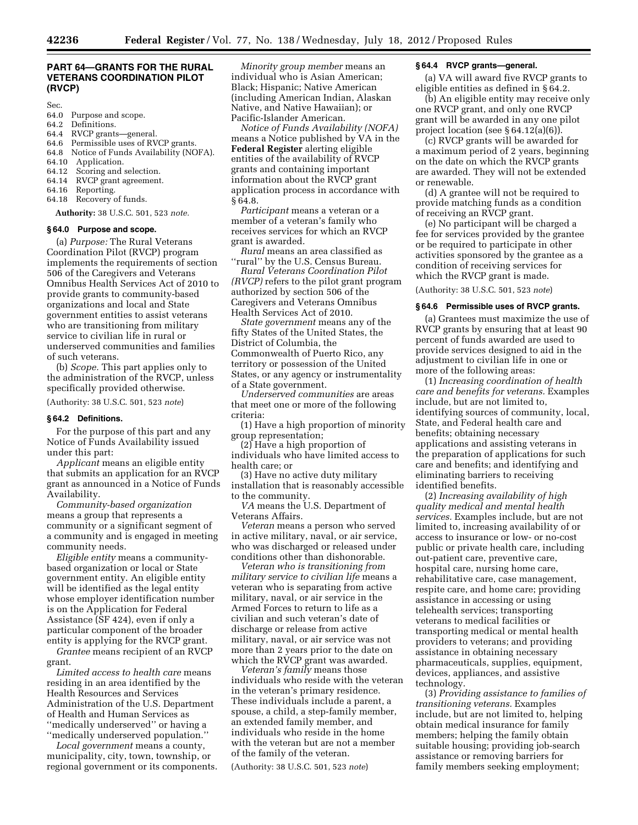# **PART 64—GRANTS FOR THE RURAL VETERANS COORDINATION PILOT (RVCP)**

Sec.

- 64.0 Purpose and scope.<br>64.2 Definitions.
- Definitions.
- 64.4 RVCP grants—general.
- 64.6 Permissible uses of RVCP grants.
- 64.8 Notice of Funds Availability (NOFA).
- 64.10 Application.
- 64.12 Scoring and selection.
- 64.14 RVCP grant agreement.
- 64.16 Reporting.
- 64.18 Recovery of funds.

# **Authority:** 38 U.S.C. 501, 523 *note.*

#### **§ 64.0 Purpose and scope.**

(a) *Purpose:* The Rural Veterans Coordination Pilot (RVCP) program implements the requirements of section 506 of the Caregivers and Veterans Omnibus Health Services Act of 2010 to provide grants to community-based organizations and local and State government entities to assist veterans who are transitioning from military service to civilian life in rural or underserved communities and families of such veterans.

(b) *Scope.* This part applies only to the administration of the RVCP, unless specifically provided otherwise.

(Authority: 38 U.S.C. 501, 523 *note*)

#### **§ 64.2 Definitions.**

For the purpose of this part and any Notice of Funds Availability issued under this part:

*Applicant* means an eligible entity that submits an application for an RVCP grant as announced in a Notice of Funds Availability.

*Community-based organization*  means a group that represents a community or a significant segment of a community and is engaged in meeting community needs.

*Eligible entity* means a communitybased organization or local or State government entity. An eligible entity will be identified as the legal entity whose employer identification number is on the Application for Federal Assistance (SF 424), even if only a particular component of the broader entity is applying for the RVCP grant.

*Grantee* means recipient of an RVCP grant.

*Limited access to health care* means residing in an area identified by the Health Resources and Services Administration of the U.S. Department of Health and Human Services as ''medically underserved'' or having a ''medically underserved population.''

*Local government* means a county, municipality, city, town, township, or regional government or its components.

*Minority group member* means an individual who is Asian American; Black; Hispanic; Native American (including American Indian, Alaskan Native, and Native Hawaiian); or Pacific-Islander American.

*Notice of Funds Availability (NOFA)*  means a Notice published by VA in the **Federal Register** alerting eligible entities of the availability of RVCP grants and containing important information about the RVCP grant application process in accordance with § 64.8.

*Participant* means a veteran or a member of a veteran's family who receives services for which an RVCP grant is awarded.

*Rural* means an area classified as ''rural'' by the U.S. Census Bureau.

*Rural Veterans Coordination Pilot (RVCP)* refers to the pilot grant program authorized by section 506 of the Caregivers and Veterans Omnibus Health Services Act of 2010.

*State government* means any of the fifty States of the United States, the District of Columbia, the Commonwealth of Puerto Rico, any territory or possession of the United States, or any agency or instrumentality of a State government.

*Underserved communities* are areas that meet one or more of the following criteria:

(1) Have a high proportion of minority group representation;

(2) Have a high proportion of individuals who have limited access to health care; or

(3) Have no active duty military installation that is reasonably accessible to the community.

*VA* means the U.S. Department of Veterans Affairs.

*Veteran* means a person who served in active military, naval, or air service, who was discharged or released under conditions other than dishonorable.

*Veteran who is transitioning from military service to civilian life* means a veteran who is separating from active military, naval, or air service in the Armed Forces to return to life as a civilian and such veteran's date of discharge or release from active military, naval, or air service was not more than 2 years prior to the date on which the RVCP grant was awarded.

*Veteran's family* means those individuals who reside with the veteran in the veteran's primary residence. These individuals include a parent, a spouse, a child, a step-family member, an extended family member, and individuals who reside in the home with the veteran but are not a member of the family of the veteran.

(Authority: 38 U.S.C. 501, 523 *note*)

## **§ 64.4 RVCP grants—general.**

(a) VA will award five RVCP grants to eligible entities as defined in § 64.2.

(b) An eligible entity may receive only one RVCP grant, and only one RVCP grant will be awarded in any one pilot project location (see § 64.12(a)(6)).

(c) RVCP grants will be awarded for a maximum period of 2 years, beginning on the date on which the RVCP grants are awarded. They will not be extended or renewable.

(d) A grantee will not be required to provide matching funds as a condition of receiving an RVCP grant.

(e) No participant will be charged a fee for services provided by the grantee or be required to participate in other activities sponsored by the grantee as a condition of receiving services for which the RVCP grant is made.

(Authority: 38 U.S.C. 501, 523 *note*)

#### **§ 64.6 Permissible uses of RVCP grants.**

(a) Grantees must maximize the use of RVCP grants by ensuring that at least 90 percent of funds awarded are used to provide services designed to aid in the adjustment to civilian life in one or more of the following areas:

(1) *Increasing coordination of health care and benefits for veterans.* Examples include, but are not limited to, identifying sources of community, local, State, and Federal health care and benefits; obtaining necessary applications and assisting veterans in the preparation of applications for such care and benefits; and identifying and eliminating barriers to receiving identified benefits.

(2) *Increasing availability of high quality medical and mental health services.* Examples include, but are not limited to, increasing availability of or access to insurance or low- or no-cost public or private health care, including out-patient care, preventive care, hospital care, nursing home care, rehabilitative care, case management, respite care, and home care; providing assistance in accessing or using telehealth services; transporting veterans to medical facilities or transporting medical or mental health providers to veterans; and providing assistance in obtaining necessary pharmaceuticals, supplies, equipment, devices, appliances, and assistive technology.

(3) *Providing assistance to families of transitioning veterans.* Examples include, but are not limited to, helping obtain medical insurance for family members; helping the family obtain suitable housing; providing job-search assistance or removing barriers for family members seeking employment;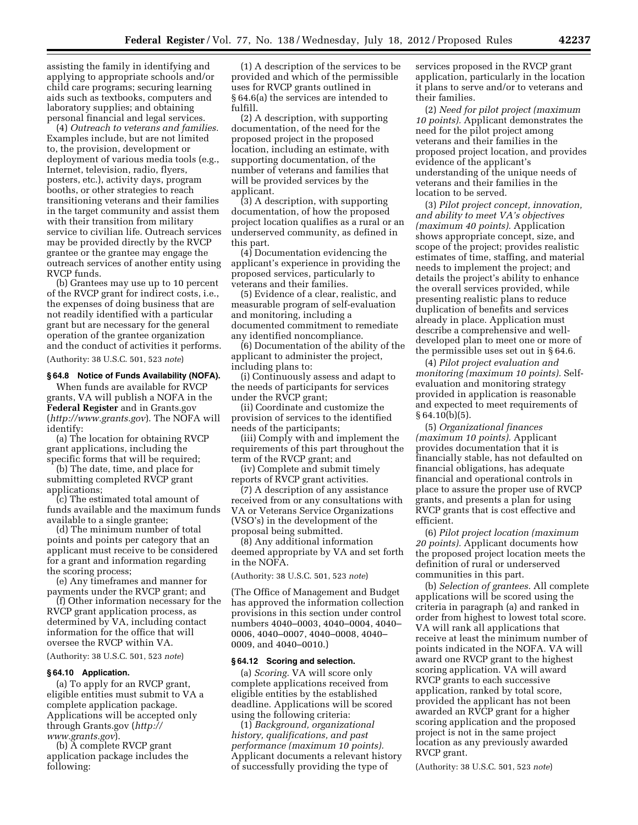assisting the family in identifying and applying to appropriate schools and/or child care programs; securing learning aids such as textbooks, computers and laboratory supplies; and obtaining personal financial and legal services.

(4) *Outreach to veterans and families.*  Examples include, but are not limited to, the provision, development or deployment of various media tools (e.g., Internet, television, radio, flyers, posters, etc.), activity days, program booths, or other strategies to reach transitioning veterans and their families in the target community and assist them with their transition from military service to civilian life. Outreach services may be provided directly by the RVCP grantee or the grantee may engage the outreach services of another entity using RVCP funds.

(b) Grantees may use up to 10 percent of the RVCP grant for indirect costs, i.e., the expenses of doing business that are not readily identified with a particular grant but are necessary for the general operation of the grantee organization and the conduct of activities it performs. (Authority: 38 U.S.C. 501, 523 *note*)

# **§ 64.8 Notice of Funds Availability (NOFA).**

When funds are available for RVCP grants, VA will publish a NOFA in the **Federal Register** and in Grants.gov (*<http://www.grants.gov>*). The NOFA will identify:

(a) The location for obtaining RVCP grant applications, including the specific forms that will be required;

(b) The date, time, and place for submitting completed RVCP grant applications;

(c) The estimated total amount of funds available and the maximum funds available to a single grantee;

(d) The minimum number of total points and points per category that an applicant must receive to be considered for a grant and information regarding the scoring process;

(e) Any timeframes and manner for payments under the RVCP grant; and

(f) Other information necessary for the RVCP grant application process, as determined by VA, including contact information for the office that will oversee the RVCP within VA.

(Authority: 38 U.S.C. 501, 523 *note*)

#### **§ 64.10 Application.**

(a) To apply for an RVCP grant, eligible entities must submit to VA a complete application package. Applications will be accepted only through Grants.gov (*[http://](http://www.grants.gov)  [www.grants.gov](http://www.grants.gov)*).

(b) A complete RVCP grant application package includes the following:

(1) A description of the services to be provided and which of the permissible uses for RVCP grants outlined in § 64.6(a) the services are intended to fulfill.

(2) A description, with supporting documentation, of the need for the proposed project in the proposed location, including an estimate, with supporting documentation, of the number of veterans and families that will be provided services by the applicant.

(3) A description, with supporting documentation, of how the proposed project location qualifies as a rural or an underserved community, as defined in this part.

(4) Documentation evidencing the applicant's experience in providing the proposed services, particularly to veterans and their families.

(5) Evidence of a clear, realistic, and measurable program of self-evaluation and monitoring, including a documented commitment to remediate any identified noncompliance.

(6) Documentation of the ability of the applicant to administer the project, including plans to:

(i) Continuously assess and adapt to the needs of participants for services under the RVCP grant;

(ii) Coordinate and customize the provision of services to the identified needs of the participants;

(iii) Comply with and implement the requirements of this part throughout the term of the RVCP grant; and

(iv) Complete and submit timely reports of RVCP grant activities.

(7) A description of any assistance received from or any consultations with VA or Veterans Service Organizations (VSO's) in the development of the proposal being submitted.

(8) Any additional information deemed appropriate by VA and set forth in the NOFA.

(Authority: 38 U.S.C. 501, 523 *note*)

(The Office of Management and Budget has approved the information collection provisions in this section under control numbers 4040–0003, 4040–0004, 4040– 0006, 4040–0007, 4040–0008, 4040– 0009, and 4040–0010.)

#### **§ 64.12 Scoring and selection.**

(a) *Scoring.* VA will score only complete applications received from eligible entities by the established deadline. Applications will be scored using the following criteria:

(1) *Background, organizational history, qualifications, and past performance (maximum 10 points).*  Applicant documents a relevant history of successfully providing the type of

services proposed in the RVCP grant application, particularly in the location it plans to serve and/or to veterans and their families.

(2) *Need for pilot project (maximum 10 points).* Applicant demonstrates the need for the pilot project among veterans and their families in the proposed project location, and provides evidence of the applicant's understanding of the unique needs of veterans and their families in the location to be served.

(3) *Pilot project concept, innovation, and ability to meet VA's objectives (maximum 40 points).* Application shows appropriate concept, size, and scope of the project; provides realistic estimates of time, staffing, and material needs to implement the project; and details the project's ability to enhance the overall services provided, while presenting realistic plans to reduce duplication of benefits and services already in place. Application must describe a comprehensive and welldeveloped plan to meet one or more of the permissible uses set out in § 64.6.

(4) *Pilot project evaluation and monitoring (maximum 10 points).* Selfevaluation and monitoring strategy provided in application is reasonable and expected to meet requirements of  $§ 64.10(b)(5).$ 

(5) *Organizational finances (maximum 10 points).* Applicant provides documentation that it is financially stable, has not defaulted on financial obligations, has adequate financial and operational controls in place to assure the proper use of RVCP grants, and presents a plan for using RVCP grants that is cost effective and efficient.

(6) *Pilot project location (maximum 20 points).* Applicant documents how the proposed project location meets the definition of rural or underserved communities in this part.

(b) *Selection of grantees.* All complete applications will be scored using the criteria in paragraph (a) and ranked in order from highest to lowest total score. VA will rank all applications that receive at least the minimum number of points indicated in the NOFA. VA will award one RVCP grant to the highest scoring application. VA will award RVCP grants to each successive application, ranked by total score, provided the applicant has not been awarded an RVCP grant for a higher scoring application and the proposed project is not in the same project location as any previously awarded RVCP grant.

(Authority: 38 U.S.C. 501, 523 *note*)